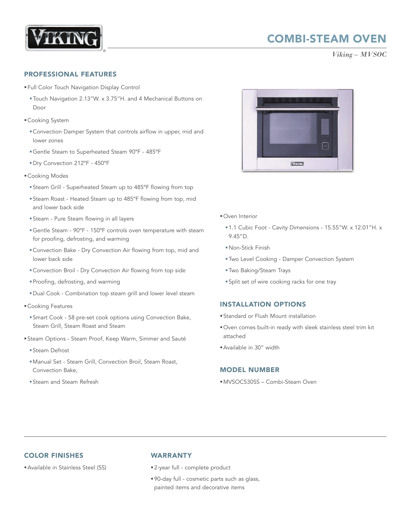

# COMBI-STEAM OVEN

*Viking – MVSOC*

#### PROFESSIONAL FEATURES

- §Full Color Touch Navigation Display Control
	- §Touch Navigation 2.13"W. x 3.75"H. and 4 Mechanical Buttons on Door
- Cooking System
	- §Convection Damper System that controls airflow in upper, mid and lower zones
	- §Gentle Steam to Superheated Steam 90ºF 485ºF
	- §Dry Convection 212ºF 450ºF
- §Cooking Modes
	- §Steam Grill Superheated Steam up to 485ºF flowing from top
	- §Steam Roast Heated Steam up to 485ºF flowing from top, mid and lower back side
	- §Steam Pure Steam flowing in all layers
	- §Gentle Steam 90ºF 150ºF controls oven temperature with steam for proofing, defrosting, and warming
	- §Convection Bake Dry Convection Air flowing from top, mid and lower back side
	- §Convection Broil Dry Convection Air flowing from top side
	- §Proofing, defrosting, and warming
	- §Dual Cook Combination top steam grill and lower level steam
- §Cooking Features
	- §Smart Cook 58 pre-set cook options using Convection Bake, Steam Grill, Steam Roast and Steam
- §Steam Options Steam Proof, Keep Warm, Simmer and Sauté
	- §Steam Defrost
	- §Manual Set Steam Grill, Convection Broil, Steam Roast, Convection Bake,
	- §Steam and Steam Refresh



- Oven Interior
	- §1.1 Cubic Foot Cavity Dimensions 15.55"W. x 12.01"H. x 9.45"D.
	- §Non-Stick Finish
	- §Two Level Cooking Damper Convection System
	- §Two Baking/Steam Trays
	- §Split set of wire cooking racks for one tray

### INSTALLATION OPTIONS

- §Standard or Flush Mount installation
- §Oven comes built-in ready with sleek stainless steel trim kit attached
- §Available in 30" width

### MODEL NUMBER

§MVSOC530SS – Combi-Steam Oven

## COLOR FINISHES

§Available in Stainless Steel (SS)

#### WARRANTY

- §2-year full complete product
- §90-day full cosmetic parts such as glass, painted items and decorative items